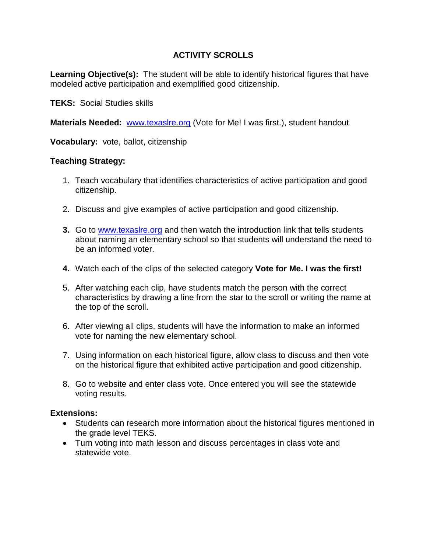# **ACTIVITY SCROLLS**

**Learning Objective(s):** The student will be able to identify historical figures that have modeled active participation and exemplified good citizenship.

**TEKS:** Social Studies skills

**Materials Needed:** www.texasire.org (Vote for Me! I was first.), student handout

**Vocabulary:** vote, ballot, citizenship

### **Teaching Strategy:**

- 1. Teach vocabulary that identifies characteristics of active participation and good citizenship.
- 2. Discuss and give examples of active participation and good citizenship.
- **3.** Go to [www.texaslre.org](http://www.texaslre.org/) and then watch the introduction link that tells students about naming an elementary school so that students will understand the need to be an informed voter.
- **4.** Watch each of the clips of the selected category **Vote for Me. I was the first!**
- 5. After watching each clip, have students match the person with the correct characteristics by drawing a line from the star to the scroll or writing the name at the top of the scroll.
- 6. After viewing all clips, students will have the information to make an informed vote for naming the new elementary school.
- 7. Using information on each historical figure, allow class to discuss and then vote on the historical figure that exhibited active participation and good citizenship.
- 8. Go to website and enter class vote. Once entered you will see the statewide voting results.

#### **Extensions:**

- Students can research more information about the historical figures mentioned in the grade level TEKS.
- Turn voting into math lesson and discuss percentages in class vote and statewide vote.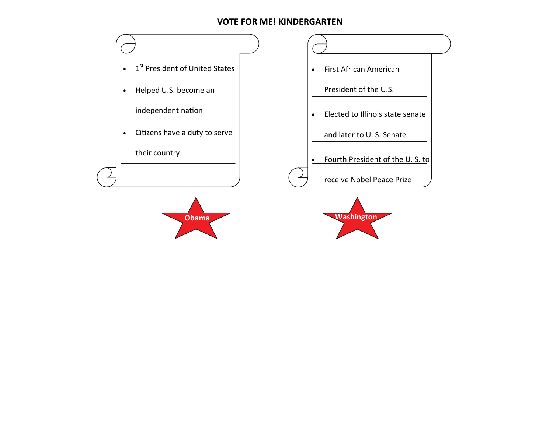#### **VOTE FOR ME! KINDERGARTEN**

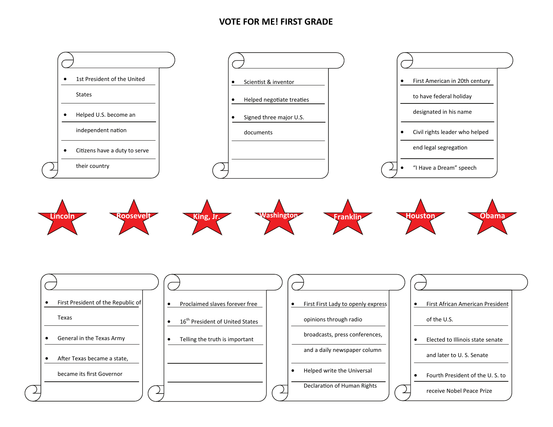#### **VOTE FOR ME! FIRST GRADE**

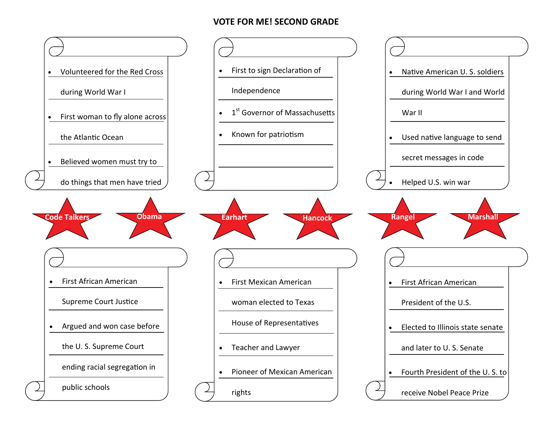## **VOTE FOR ME! SECOND GRADE**

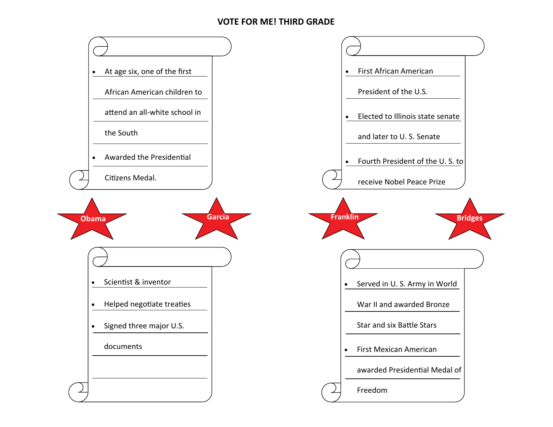### **VOTE FOR ME! THIRD GRADE**

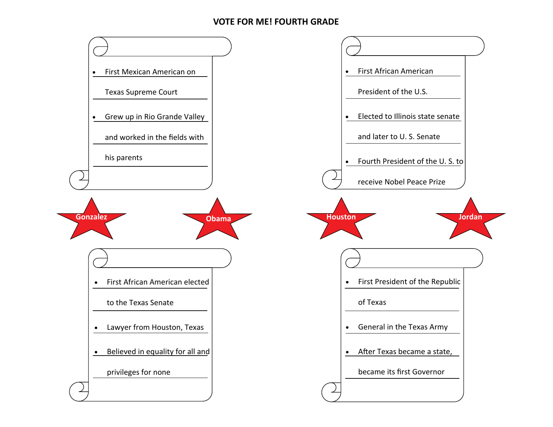# **VOTE FOR ME! FOURTH GRADE**

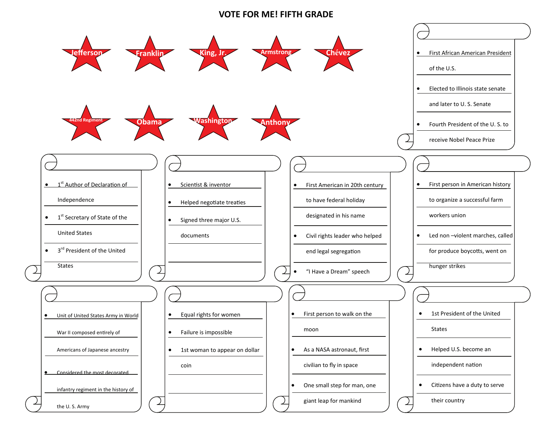#### **VOTE FOR ME! FIFTH GRADE**

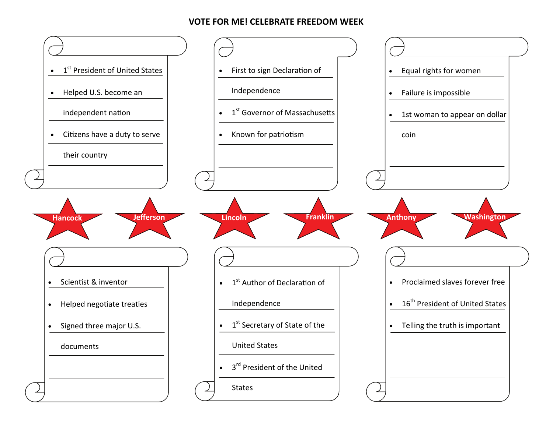# **VOTE FOR ME! CELEBRATE FREEDOM WEEK**

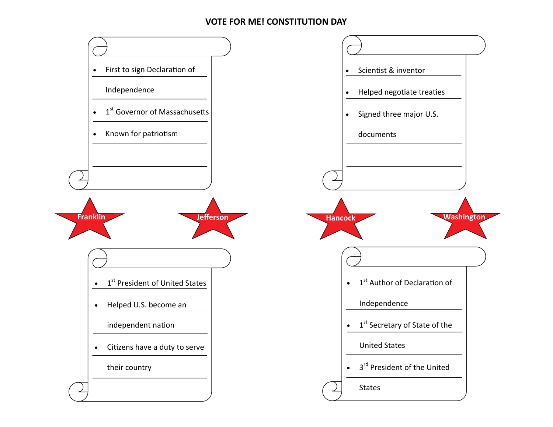# **VOTE FOR ME! CONSTITUTION DAY**

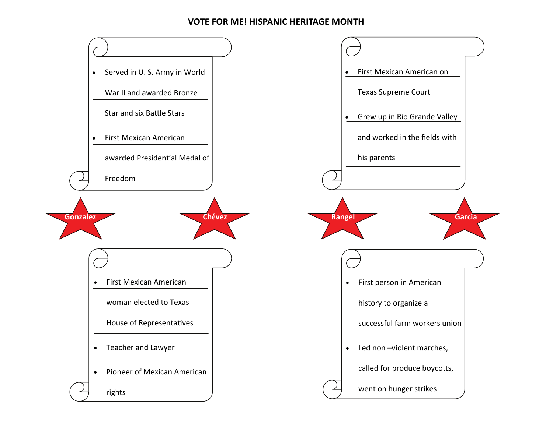# **VOTE FOR ME! HISPANIC HERITAGE MONTH**

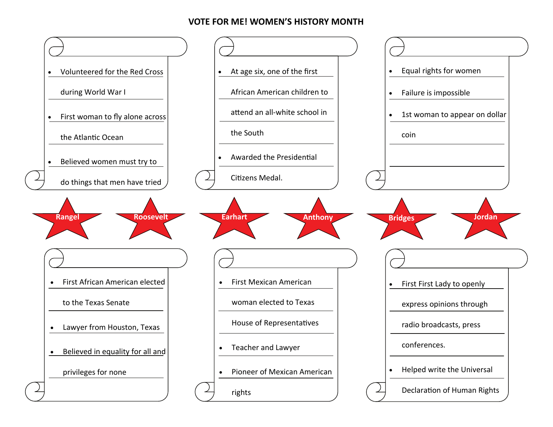## **VOTE FOR ME! WOMEN'S HISTORY MONTH**

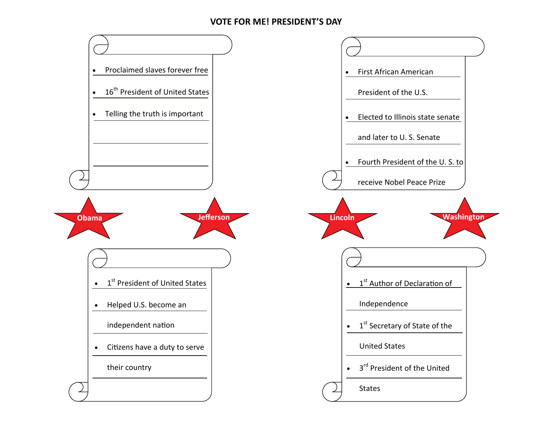## **VOTE FOR ME! PRESIDENT'S DAY**

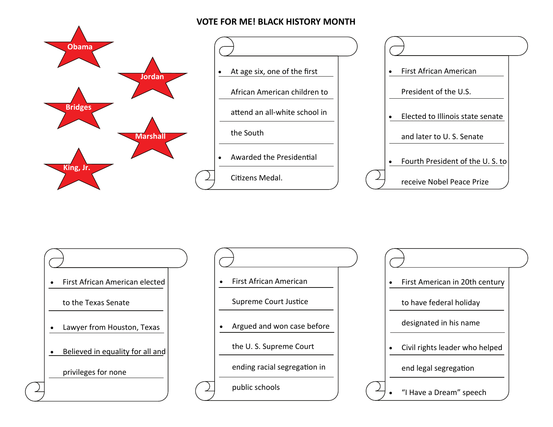# **VOTE FOR ME! BLACK HISTORY MONTH**





 $\bullet$  First African American elected to the Texas Senate Lawyer from Houston, Texas **•** Believed in equality for all and privileges for none

 $\bullet$  First African American Supreme Court Justice • Argued and won case before the U. S. Supreme Court ending racial segregation in

public schools

 $\bullet$  First American in 20th century to have federal holiday designated in his name  $\bullet$  Civil rights leader who helped end legal segregaƟon  $\bullet$ "I Have <sup>a</sup> Dream" speech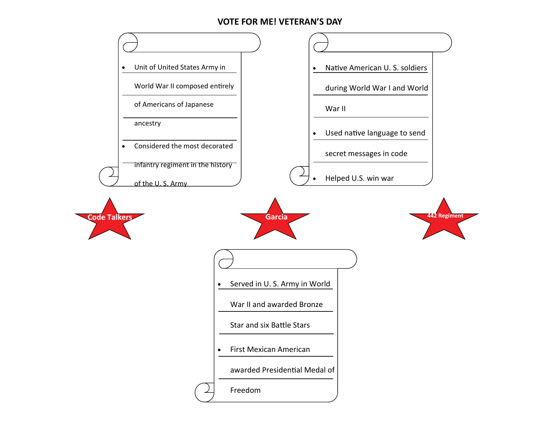#### **VOTE FOR ME! VETERAN'S DAY**